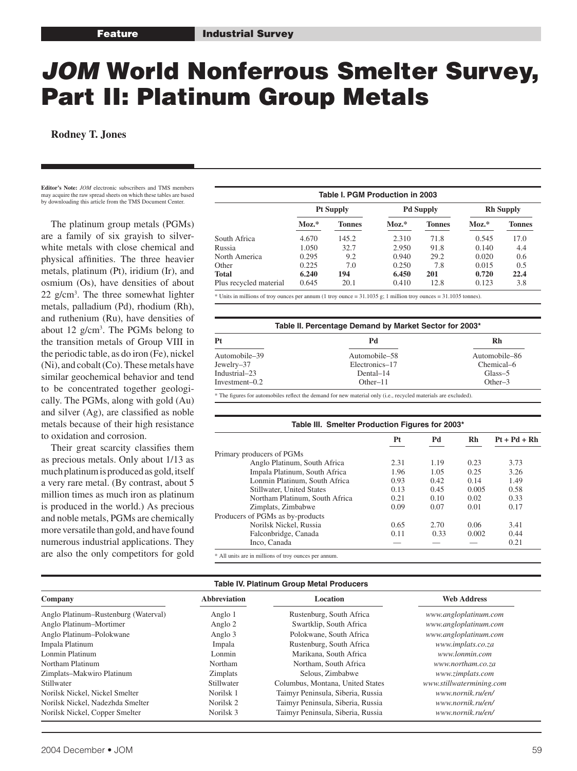# JOM World Nonferrous Smelter Survey, Part II: Platinum Group Metals

**Rodney T. Jones**

**Editor's Note:** *JOM* electronic subscribers and TMS members may acquire the raw spread sheets on which these tables are based by downloading this article from the TMS Document Center.

 The platinum group metals (PGMs) are a family of six grayish to silverwhite metals with close chemical and physical affinities. The three heavier metals, platinum (Pt), iridium (Ir), and osmium (Os), have densities of about 22 g/cm3 . The three somewhat lighter metals, palladium (Pd), rhodium (Rh), and ruthenium (Ru), have densities of about 12 g/cm3 . The PGMs belong to the transition metals of Group VIII in the periodic table, as do iron (Fe), nickel (Ni), and cobalt (Co). These metals have similar geochemical behavior and tend to be concentrated together geologically. The PGMs, along with gold (Au) and silver (Ag), are classified as noble metals because of their high resistance to oxidation and corrosion.

 Their great scarcity classifies them as precious metals. Only about 1/13 as much platinum is produced as gold, itself a very rare metal. (By contrast, about 5 million times as much iron as platinum is produced in the world.) As precious and noble metals, PGMs are chemically more versatile than gold, and have found numerous industrial applications. They are also the only competitors for gold

|                        |         | Table I. PGM Production in 2003 |         |                  |         |                  |
|------------------------|---------|---------------------------------|---------|------------------|---------|------------------|
|                        |         | <b>Pt Supply</b>                |         | <b>Pd Supply</b> |         | <b>Rh Supply</b> |
|                        | $MoZ.*$ | <b>Tonnes</b>                   | $MoZ.*$ | <b>Tonnes</b>    | $MoZ.*$ | <b>Tonnes</b>    |
| South Africa           | 4.670   | 145.2                           | 2.310   | 71.8             | 0.545   | 17.0             |
| Russia                 | 1.050   | 32.7                            | 2.950   | 91.8             | 0.140   | 4.4              |
| North America          | 0.295   | 9.2                             | 0.940   | 29.2             | 0.020   | 0.6              |
| Other                  | 0.225   | 7.0                             | 0.250   | 7.8              | 0.015   | 0.5              |
| <b>Total</b>           | 6.240   | 194                             | 6.450   | 201              | 0.720   | 22.4             |
| Plus recycled material | 0.645   | 20.1                            | 0.410   | 12.8             | 0.123   | 3.8              |

\* Units in millions of troy ounces per annum (1 troy ounce = 31.1035 g; 1 million troy ounces = 31.1035 tonnes).

| Table II. Percentage Demand by Market Sector for 2003* |                |                |  |  |  |  |  |  |  |  |
|--------------------------------------------------------|----------------|----------------|--|--|--|--|--|--|--|--|
| Pt                                                     | Pd             | R <sub>h</sub> |  |  |  |  |  |  |  |  |
| Automobile-39                                          | Automobile-58  | Automobile-86  |  |  |  |  |  |  |  |  |
| Jewelry–37                                             | Electronics-17 | Chemical-6     |  |  |  |  |  |  |  |  |
| Industrial-23                                          | Dental-14      | Glass-5        |  |  |  |  |  |  |  |  |
| Investment-0.2                                         | $Other-11$     | $Other-3$      |  |  |  |  |  |  |  |  |

\* The figures for automobiles reflect the demand for new material only (i.e., recycled materials are excluded).

## **Table III. Smelter Production Figures for 2003\* Pt Pd Rh Pt + Pd + Rh** Primary producers of PGMs Anglo Platinum, South Africa 2.31 1.19 0.23 3.73 Impala Platinum, South Africa  $1.96$   $1.05$   $0.25$   $3.26$ <br>
Lonmin Platinum, South Africa  $0.93$   $0.42$   $0.14$   $1.49$ Lonmin Platinum, South Africa Stillwater, United States 0.13 0.45 0.005 0.58 Northam Platinum, South Africa 0.21 0.10 0.02 0.33 Zimplats, Zimbabwe 0.09 0.07 0.01 0.17 Producers of PGMs as by-products Norilsk Nickel, Russia 0.65 2.70 0.06 3.41 Falconbridge, Canada  $\begin{array}{cccc} 0.11 & 0.33 & 0.002 & 0.44 \\ - & - & - & 0.21 \end{array}$ Inco, Canada

\* All units are in millions of troy ounces per annum.

### **Table IV. Platinum Group Metal Producers**

| Company                              | <b>Abbreviation</b><br>Location |                                   | <b>Web Address</b>       |
|--------------------------------------|---------------------------------|-----------------------------------|--------------------------|
| Anglo Platinum-Rustenburg (Waterval) | Anglo 1                         | Rustenburg, South Africa          | www.angloplatinum.com    |
| Anglo Platinum-Mortimer              | Anglo 2                         | Swartklip, South Africa           | www.angloplatinum.com    |
| Anglo Platinum-Polokwane             | Anglo 3                         | Polokwane, South Africa           | www.angloplatinum.com    |
| Impala Platinum                      | Impala                          | Rustenburg, South Africa          | www.implats.co.za        |
| Lonmin Platinum                      | Lonmin                          | Marikana, South Africa            | www.lonmin.com           |
| Northam Platinum                     | Northam                         | Northam, South Africa             | www.northam.co.za        |
| Zimplats-Makwiro Platinum            | Zimplats                        | Selous, Zimbabwe                  | www.zimplats.com         |
| <b>Stillwater</b>                    | Stillwater                      | Columbus, Montana, United States  | www.stillwatermining.com |
| Norilsk Nickel, Nickel Smelter       | Norilsk 1                       | Taimyr Peninsula, Siberia, Russia | www.nornik.ru/en/        |
| Norilsk Nickel, Nadezhda Smelter     | Norilsk 2                       | Taimyr Peninsula, Siberia, Russia | www.nornik.ru/en/        |
| Norilsk Nickel, Copper Smelter       | Norilsk 3                       | Taimyr Peninsula, Siberia, Russia | www.nornik.ru/en/        |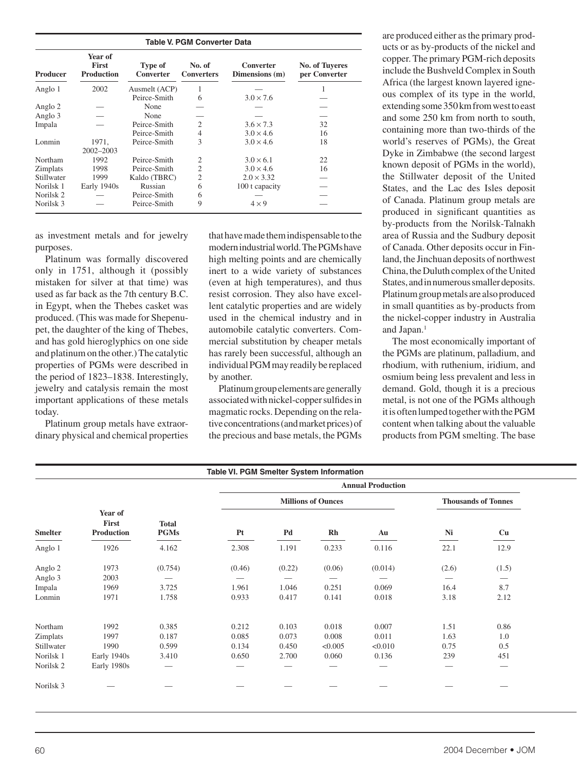| <b>Table V. PGM Converter Data</b> |                                              |                      |                             |                             |                                        |  |  |  |  |
|------------------------------------|----------------------------------------------|----------------------|-----------------------------|-----------------------------|----------------------------------------|--|--|--|--|
| Producer                           | Year of<br><b>First</b><br><b>Production</b> | Type of<br>Converter | No. of<br><b>Converters</b> | Converter<br>Dimensions (m) | <b>No. of Tuyeres</b><br>per Converter |  |  |  |  |
| Anglo 1                            | 2002                                         | Ausmelt (ACP)        | 1                           |                             | 1                                      |  |  |  |  |
|                                    |                                              | Peirce-Smith         | 6                           | $3.0 \times 7.6$            |                                        |  |  |  |  |
| Anglo 2                            |                                              | None                 |                             |                             |                                        |  |  |  |  |
| Anglo 3                            |                                              | None                 |                             |                             |                                        |  |  |  |  |
| Impala                             |                                              | Peirce-Smith         | $\overline{c}$              | $3.6 \times 7.3$            | 32                                     |  |  |  |  |
|                                    |                                              | Peirce-Smith         | 4                           | $3.0 \times 4.6$            | 16                                     |  |  |  |  |
| Lonmin                             | 1971,                                        | Peirce-Smith         | 3                           | $3.0 \times 4.6$            | 18                                     |  |  |  |  |
|                                    | 2002-2003                                    |                      |                             |                             |                                        |  |  |  |  |
| Northam                            | 1992                                         | Peirce-Smith         | 2                           | $3.0 \times 6.1$            | 22                                     |  |  |  |  |
| <b>Zimplats</b>                    | 1998                                         | Peirce-Smith         | $\overline{c}$              | $3.0 \times 4.6$            | 16                                     |  |  |  |  |
| Stillwater                         | 1999                                         | Kaldo (TBRC)         | 2                           | $2.0 \times 3.32$           |                                        |  |  |  |  |
| Norilsk 1                          | Early 1940s                                  | Russian              | 6                           | 100 t capacity              |                                        |  |  |  |  |
| Norilsk 2                          |                                              | Peirce-Smith         | 6                           |                             |                                        |  |  |  |  |
| Norilsk <sub>3</sub>               |                                              | Peirce-Smith         | 9                           | $4 \times 9$                |                                        |  |  |  |  |

as investment metals and for jewelry purposes.

 Platinum was formally discovered only in 1751, although it (possibly mistaken for silver at that time) was used as far back as the 7th century B.C. in Egypt, when the Thebes casket was produced. (This was made for Shepenupet, the daughter of the king of Thebes, and has gold hieroglyphics on one side and platinum on the other.) The catalytic properties of PGMs were described in the period of 1823–1838. Interestingly, jewelry and catalysis remain the most important applications of these metals today.

 Platinum group metals have extraordinary physical and chemical properties

that have made them indispensable to the modern industrial world. The PGMs have high melting points and are chemically inert to a wide variety of substances (even at high temperatures), and thus resist corrosion. They also have excellent catalytic properties and are widely used in the chemical industry and in automobile catalytic converters. Commercial substitution by cheaper metals has rarely been successful, although an individual PGM may readily be replaced by another.

 Platinum group elements are generally associated with nickel-copper sulfides in magmatic rocks. Depending on the relative concentrations (and market prices) of the precious and base metals, the PGMs

are produced either as the primary products or as by-products of the nickel and copper. The primary PGM-rich deposits include the Bushveld Complex in South Africa (the largest known layered igneous complex of its type in the world, extending some 350 km from west to east and some 250 km from north to south, containing more than two-thirds of the world's reserves of PGMs), the Great Dyke in Zimbabwe (the second largest known deposit of PGMs in the world), the Stillwater deposit of the United States, and the Lac des Isles deposit of Canada. Platinum group metals are produced in significant quantities as by-products from the Norilsk-Talnakh area of Russia and the Sudbury deposit of Canada. Other deposits occur in Finland, the Jinchuan deposits of northwest China, the Duluth complex of the United States, and in numerous smaller deposits. Platinum group metals are also produced in small quantities as by-products from the nickel-copper industry in Australia and Japan.<sup>1</sup>

 The most economically important of the PGMs are platinum, palladium, and rhodium, with ruthenium, iridium, and osmium being less prevalent and less in demand. Gold, though it is a precious metal, is not one of the PGMs although it is often lumped together with the PGM content when talking about the valuable products from PGM smelting. The base

|                                                                   |                                                                                |                                                               | Table VI. PGM Smelter System Information |                   |                                 |                                 |                                      |                                 |
|-------------------------------------------------------------------|--------------------------------------------------------------------------------|---------------------------------------------------------------|------------------------------------------|-------------------|---------------------------------|---------------------------------|--------------------------------------|---------------------------------|
|                                                                   |                                                                                |                                                               |                                          |                   |                                 | <b>Annual Production</b>        |                                      |                                 |
|                                                                   |                                                                                |                                                               |                                          |                   | <b>Millions of Ounces</b>       |                                 |                                      | <b>Thousands of Tonnes</b>      |
| $\label{eq:smelter} \textbf{Smelter}$<br>$\overline{\phantom{a}}$ | Year of<br>First<br>Production<br>the control of the control of the control of | <b>Total</b><br><b>PGMs</b><br>$\overbrace{\hspace{25mm}}^{}$ | Pt<br>$\overbrace{\hspace{25mm}}^{}$     | Pd<br>_____       | Rh<br>$\overline{\phantom{a}}$  | Au<br>$\overline{\phantom{a}}$  | Ni<br>$\overbrace{\hspace{25mm}}^{}$ | Cu                              |
| Anglo 1                                                           | 1926                                                                           | 4.162                                                         | 2.308                                    | 1.191             | 0.233                           | 0.116                           | 22.1                                 | 12.9                            |
| Anglo 2                                                           | 1973                                                                           | (0.754)                                                       | (0.46)                                   | (0.22)            | (0.06)                          | (0.014)                         | (2.6)                                | (1.5)                           |
| Anglo 3                                                           | 2003                                                                           | $\hspace{0.1mm}-\hspace{0.1mm}$                               |                                          |                   | $\overline{\phantom{m}}$        | $\hspace{0.1mm}-\hspace{0.1mm}$ | $\hspace{0.1mm}-\hspace{0.1mm}$      | $\hspace{0.1mm}-\hspace{0.1mm}$ |
| Impala                                                            | 1969                                                                           | 3.725                                                         | 1.961                                    | 1.046             | 0.251                           | 0.069                           | 16.4                                 | 8.7                             |
| Lonmin                                                            | 1971                                                                           | 1.758                                                         | 0.933                                    | 0.417             | 0.141                           | 0.018                           | 3.18                                 | 2.12                            |
| Northam                                                           | 1992                                                                           | 0.385                                                         | 0.212                                    | 0.103             | 0.018                           | 0.007                           | 1.51                                 | 0.86                            |
| Zimplats                                                          | 1997                                                                           | 0.187                                                         | 0.085                                    | 0.073             | 0.008                           | 0.011                           | 1.63                                 | $1.0\,$                         |
| Stillwater                                                        | 1990                                                                           | 0.599                                                         | 0.134                                    | 0.450             | < 0.005                         | < 0.010                         | 0.75                                 | 0.5                             |
| Norilsk 1                                                         | Early 1940s                                                                    | 3.410                                                         | 0.650                                    | 2.700             | 0.060                           | 0.136                           | 239                                  | 451                             |
| Norilsk <sub>2</sub>                                              | Early 1980s                                                                    | $\overline{\phantom{a}}$                                      | $\overline{\phantom{a}}$                 |                   | $\overbrace{\phantom{aaaaa}}$   | $\hspace{0.1mm}-\hspace{0.1mm}$ | $\overline{\phantom{a}}$             | $\overline{\phantom{a}}$        |
| Norilsk 3                                                         | $\overline{\phantom{a}}$                                                       | $\overline{\phantom{a}}$                                      | $\overline{\phantom{a}}$                 | $\hspace{0.05cm}$ | $\hspace{0.1mm}-\hspace{0.1mm}$ | $\overline{\phantom{a}}$        |                                      | $\hspace{0.1mm}-\hspace{0.1mm}$ |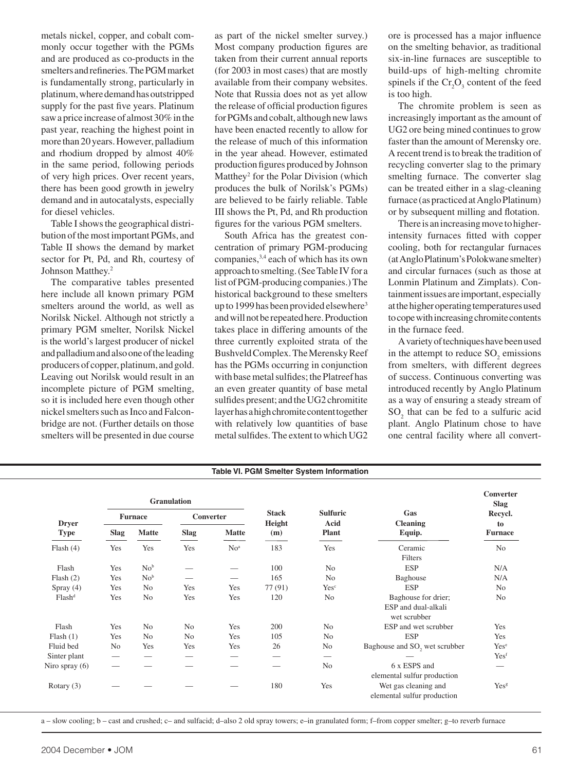metals nickel, copper, and cobalt commonly occur together with the PGMs and are produced as co-products in the smelters and refineries. The PGM market is fundamentally strong, particularly in platinum, where demand has outstripped supply for the past five years. Platinum saw a price increase of almost 30% in the past year, reaching the highest point in more than 20 years. However, palladium and rhodium dropped by almost 40% in the same period, following periods of very high prices. Over recent years, there has been good growth in jewelry demand and in autocatalysts, especially for diesel vehicles.

 Table I shows the geographical distribution of the most important PGMs, and Table II shows the demand by market sector for Pt, Pd, and Rh, courtesy of Johnson Matthey.2

 The comparative tables presented here include all known primary PGM smelters around the world, as well as Norilsk Nickel. Although not strictly a primary PGM smelter, Norilsk Nickel is the world's largest producer of nickel and palladium and also one of the leading producers of copper, platinum, and gold. Leaving out Norilsk would result in an incomplete picture of PGM smelting, so it is included here even though other nickel smelters such as Inco and Falconbridge are not. (Further details on those smelters will be presented in due course

as part of the nickel smelter survey.) Most company production figures are taken from their current annual reports (for 2003 in most cases) that are mostly available from their company websites. Note that Russia does not as yet allow the release of official production figures for PGMs and cobalt, although new laws have been enacted recently to allow for the release of much of this information in the year ahead. However, estimated production figures produced by Johnson Matthey<sup>2</sup> for the Polar Division (which produces the bulk of Norilsk's PGMs) are believed to be fairly reliable. Table III shows the Pt, Pd, and Rh production figures for the various PGM smelters.

 South Africa has the greatest concentration of primary PGM-producing companies,3,4 each of which has its own approach to smelting. (See Table IV for a list of PGM-producing companies.) The historical background to these smelters up to 1999 has been provided elsewhere<sup>3</sup> and will not be repeated here. Production takes place in differing amounts of the three currently exploited strata of the Bushveld Complex. The Merensky Reef has the PGMs occurring in conjunction with base metal sulfides; the Platreef has an even greater quantity of base metal sulfides present; and the UG2 chromitite layer has a high chromite content together with relatively low quantities of base metal sulfides. The extent to which UG2

ore is processed has a major influence on the smelting behavior, as traditional six-in-line furnaces are susceptible to build-ups of high-melting chromite spinels if the  $Cr_2O_3$  content of the feed is too high.

 The chromite problem is seen as increasingly important as the amount of UG2 ore being mined continues to grow faster than the amount of Merensky ore. A recent trend is to break the tradition of recycling converter slag to the primary smelting furnace. The converter slag can be treated either in a slag-cleaning furnace (as practiced at Anglo Platinum) or by subsequent milling and flotation.

 There is an increasing move to higherintensity furnaces fitted with copper cooling, both for rectangular furnaces (at Anglo Platinum's Polokwane smelter) and circular furnaces (such as those at Lonmin Platinum and Zimplats). Containment issues are important, especially at the higher operating temperatures used to cope with increasing chromite contents in the furnace feed.

 A variety of techniques have been used in the attempt to reduce  $SO_2$  emissions from smelters, with different degrees of success. Continuous converting was introduced recently by Anglo Platinum as a way of ensuring a steady stream of  $SO_2$  that can be fed to a sulfuric acid plant. Anglo Platinum chose to have one central facility where all convert-

| Table VI. PGM Smelter System Information            |                                                            |                                 |                                 |                                                                                                                                                                                                                                                                                                                                                                                                                                                                                          |                                 |                                 |                                 |                                              |  |
|-----------------------------------------------------|------------------------------------------------------------|---------------------------------|---------------------------------|------------------------------------------------------------------------------------------------------------------------------------------------------------------------------------------------------------------------------------------------------------------------------------------------------------------------------------------------------------------------------------------------------------------------------------------------------------------------------------------|---------------------------------|---------------------------------|---------------------------------|----------------------------------------------|--|
| Converter<br>Slag<br>Recycl.                        | Gas<br><b>Cleaning</b>                                     | <b>Sulfuric</b><br>Acid         | <b>Stack</b><br>Height          |                                                                                                                                                                                                                                                                                                                                                                                                                                                                                          | Granulation<br>Converter        |                                 | <b>Furnace</b>                  |                                              |  |
| to<br><b>Furnace</b>                                | Equip.                                                     | Plant                           | (m)                             | <b>Matte</b>                                                                                                                                                                                                                                                                                                                                                                                                                                                                             | Slag                            | Matte                           | <b>Slag</b>                     | <b>Dryer</b><br><b>Type</b>                  |  |
| and the control of the control of<br>N <sub>o</sub> | Ceramic<br>Filters                                         | $\overline{\phantom{a}}$<br>Yes | $\overline{\phantom{a}}$<br>183 | $\frac{1}{2} \left( \frac{1}{2} \right) \left( \frac{1}{2} \right) \left( \frac{1}{2} \right) \left( \frac{1}{2} \right) \left( \frac{1}{2} \right) \left( \frac{1}{2} \right) \left( \frac{1}{2} \right) \left( \frac{1}{2} \right) \left( \frac{1}{2} \right) \left( \frac{1}{2} \right) \left( \frac{1}{2} \right) \left( \frac{1}{2} \right) \left( \frac{1}{2} \right) \left( \frac{1}{2} \right) \left( \frac{1}{2} \right) \left( \frac{1}{2} \right) \left( \frac$<br>$\rm No^a$ | Yes                             | Yes                             | Yes                             | the control of the control of<br>Flash $(4)$ |  |
| N/A                                                 | ESP                                                        | No                              | 100                             | $\hspace{0.1mm}-\hspace{0.1mm}$                                                                                                                                                                                                                                                                                                                                                                                                                                                          | $\hspace{0.1mm}-\hspace{0.1mm}$ | No <sup>b</sup>                 | Yes                             | Flash                                        |  |
| N/A                                                 | Baghouse                                                   | $\rm No$                        | 165                             | $\hspace{0.1mm}-\hspace{0.1mm}$                                                                                                                                                                                                                                                                                                                                                                                                                                                          | $\overline{\phantom{a}}$        | No <sup>b</sup>                 | Yes                             | Flash(2)                                     |  |
| No                                                  | <b>ESP</b>                                                 | Yesc                            | 77 (91)                         | Yes                                                                                                                                                                                                                                                                                                                                                                                                                                                                                      | Yes                             | N <sub>o</sub>                  | Yes                             | Spray (4)                                    |  |
| N <sub>o</sub>                                      | Baghouse for drier;<br>ESP and dual-alkali<br>wet scrubber | No                              | 120                             | Yes                                                                                                                                                                                                                                                                                                                                                                                                                                                                                      | Yes                             | No                              | Yes                             | Flash <sup>d</sup>                           |  |
| Yes                                                 | ESP and wet scrubber                                       | No                              | 200                             | Yes                                                                                                                                                                                                                                                                                                                                                                                                                                                                                      | $\rm No$                        | No                              | Yes                             | Flash                                        |  |
| Yes                                                 | <b>ESP</b>                                                 | No                              | $105\,$                         | Yes                                                                                                                                                                                                                                                                                                                                                                                                                                                                                      | $\rm No$                        | No                              | Yes                             | Plash(1)                                     |  |
| $\operatorname{Yes}^{\operatorname{e}}$             | Baghouse and SO <sub>2</sub> wet scrubber                  | No                              | 26                              | Yes                                                                                                                                                                                                                                                                                                                                                                                                                                                                                      | Yes                             | Yes                             | N <sub>o</sub>                  | Fluid bed                                    |  |
| Yesf                                                | $\overline{\phantom{a}}$                                   | $\hspace{0.1mm}-\hspace{0.1mm}$ | $\hspace{0.1mm}-\hspace{0.1mm}$ | $\hspace{0.1mm}-\hspace{0.1mm}$                                                                                                                                                                                                                                                                                                                                                                                                                                                          | $\hspace{0.1mm}-\hspace{0.1mm}$ | $\hspace{0.1mm}-\hspace{0.1mm}$ | $\hspace{0.1mm}-\hspace{0.1mm}$ | Sinter plant                                 |  |
| $\overline{\phantom{a}}$                            | 6 x ESPS and<br>elemental sulfur production                | No                              | $\overline{\phantom{a}}$        | $\hspace{0.1mm}-\hspace{0.1mm}$                                                                                                                                                                                                                                                                                                                                                                                                                                                          | $\overline{\phantom{a}}$        | $\hspace{0.1mm}-\hspace{0.1mm}$ | $\hspace{0.1mm}-\hspace{0.1mm}$ | Niro spray (6)                               |  |
| Yesg                                                | Wet gas cleaning and<br>elemental sulfur production        | Yes                             | 180                             | $\hspace{0.1mm}-\hspace{0.1mm}$                                                                                                                                                                                                                                                                                                                                                                                                                                                          |                                 | $\overbrace{\phantom{12332}}$   | $\hspace{0.05cm}$               | Rotary (3)                                   |  |

a – slow cooling; b – cast and crushed; c– and sulfacid; d–also 2 old spray towers; e–in granulated form; f–from copper smelter; g–to reverb furnace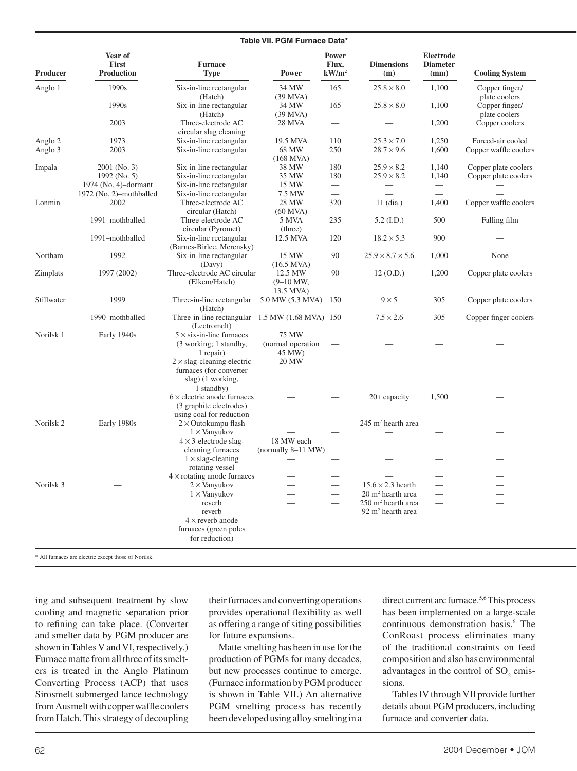#### **Table VII. PGM Furnace Data\* Table VII. PGM Furnace Data Power Electrode Consumption, Slag Tapping Matter Electrode** Electrode **First Furnace Flux, Dimensions Diameter Smelting Kurrenature Temperature Temperature Temperature American** Producer Production Type Power kW/m<sup>2</sup> **(m)** (mm) Cooling System Anglo 1 1990s Six-in-line rectangular  $34 \text{ MW}$  165  $25.8 \times 8.0$  1,100 Copper finger/ (Hatch) (39 MVA) plate coolers<br>
Six-in-line rectangular  $34 \text{ MW}$  165  $25.8 \times 8.0$  1,100 Copper finger/ 1990s Six-in-line rectangular  $34 \text{ MW}$  165  $25.8 \times 8.0$  1,100 Copper finger/ (Hatch) (39 MVA) plate coolers 2003 Three-electrode AC 28 MVA — — 1,200 Copper coolers circular slag cleaning Anglo 2 1973 Six-in-line rectangular 19.5 MVA  $110$  25.3 × 7.0 1,250 Forced-air cooled Anglo 3 2003 Six-in-line rectangular  $68 \text{ MW}$  250  $28.7 \times 9.6$  1,600 Copper waffle coolers  $\begin{array}{c} \text{(168 MVA)}\\ \text{38 MW} \end{array}$ Impala  $2001$  (No. 3) Six-in-line rectangular  $38$  MW  $180$   $25.9 \times 8.2$   $1,140$  Copper plate coolers 1992 (No. 5) Six-in-line rectangular  $35 \text{ MW}$  180  $25.9 \times 8.2$  1,140 Copper plate coolers 1974 (No. 4)–dormant Six-in-line rectangular 15 MW — — — — — — — — — 1972 (No. 2)–mothballed Six-in-line rectangular 7.5 MW — — — — — — — Lonmin 2002 Three-electrode AC 28 MW 320 11 (dia.) 1,400 Copper waffle coolers circular (Hatch) (60 MVA) 1991–mothballed Three-electrode AC 5 MVA 235 5.2 (I.D.) 500 Falling film circular (Pyromet) (three)  $1991$ -mothballed Six-in-line rectangular  $12.5$  MVA  $120$   $18.2 \times 5.3$  900  $-$ (Barnes-Birlec, Merensky) Northam 1992 Six-in-line rectangular 15 MW 90  $25.9 \times 8.7 \times 5.6$  1,000 None (Davy) (16.5 MVA)<br>Three-electrode AC circular 12.5 MW  $Z$ implats 1997 (2002) Three-electrode AC circular  $12.5$  MW 90  $12$  (O.D.) 1,200 Copper plate coolers (Elkem/Hatch) (9–10 MW, 13.5 MVA) Stillwater 1999 Three-in-line rectangular 5.0 MW (5.3 MVA) 150  $9 \times 5$  305 Copper plate coolers (Hatch) 1990–mothballed Three-in-line rectangular 1.5 MW (1.68 MVA) 150  $7.5 \times 2.6$  305 Copper finger coolers (Lectromelt) Norilsk 1 Early 1940s  $5 \times$  six-in-line furnaces 75 MW (3 working; 1 standby, (normal operation  $-\qquad -\qquad -$ 1 repair) 45 MW)  $2 \times$  slag-cleaning electric 20 MW — — — — — — — furnaces (for converter slag) (1 working, 1 standby)  $6 \times$  electric anode furnaces — — 20 t capacity 1,500 — (3 graphite electrodes) using coal for reduction Norilsk 2 Early 1980s  $2 \times$  Outokumpu flash — 245 m<sup>2</sup> hearth area hearth area  $\qquad \qquad 1 \times$  Vanyukov — — — — — — — — — —  $4 \times 3$ -electrode slag- 18 MW each — — — — — — — cleaning furnaces (normally 8–11 MW)  $1 \times$  slag-cleaning  $$ rotating vessel  $4 \times$  rotating anode furnaces  $\qquad \qquad \qquad \qquad -$ Norilsk 3 —  $-$  2 × Vanyukov —  $-$  15.6 × 2.3 hearth — —  $1 \times$  Vanyukov —  $-$  20 m<sup>2</sup> hearth area hearth area  $\qquad \qquad$ reverb  $250 \text{ m}^2$  hearth area<br>reverb  $92 \text{ m}^2$  hearth area hearth area  $\qquad \qquad$ reverb —  $-$  92 m<sup>2</sup> hearth area  $\qquad \qquad 4 \times$  reverb anode  $\qquad \qquad \qquad \qquad \qquad$ furnaces (green poles for reduction)

\* All furnaces are electric except those of Norilsk.

ing and subsequent treatment by slow cooling and magnetic separation prior to refining can take place. (Converter and smelter data by PGM producer are shown in Tables V and VI, respectively.) Furnace matte from all three of its smelters is treated in the Anglo Platinum Converting Process (ACP) that uses Sirosmelt submerged lance technology from Ausmelt with copper waffle coolers from Hatch. This strategy of decoupling

their furnaces and converting operations provides operational flexibility as well as offering a range of siting possibilities for future expansions.

 Matte smelting has been in use for the production of PGMs for many decades, but new processes continue to emerge. (Furnace information by PGM producer is shown in Table VII.) An alternative PGM smelting process has recently been developed using alloy smelting in a direct current arc furnace.<sup>5,6</sup> This process has been implemented on a large-scale continuous demonstration basis.<sup>6</sup> The ConRoast process eliminates many of the traditional constraints on feed composition and also has environmental advantages in the control of  $SO_2$  emissions.

 Tables IV through VII provide further details about PGM producers, including furnace and converter data.